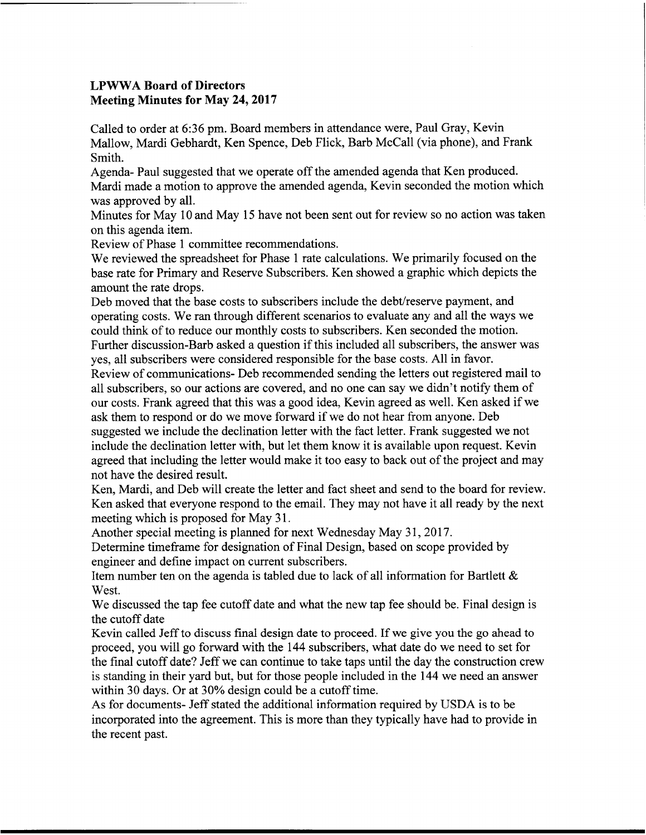## LPWWA Board of Directors Meeting Minutes for May 24, 2017

Called to order at 6:36 pm. Board members in attendance were, Paul Gray, Kevin Mallow, Mardi Gebhardt, Ken Spence, Deb Flick, Barb McCall (via phone), and Frank Smith.

Agenda- Paul suggested that we operate offthe amended agenda that Ken produced. Mardi made a motion to approve the amended agenda, Kevin seconded the motion which was approved by all.

Minutes for May l0 and May <sup>15</sup> have not been sent out for review so no action was taken on this agenda item.

Review of Phase <sup>1</sup> committee recommendations.

We reviewed the spreadsheet for Phase 1 rate calculations. We primarily focused on the base rate for Primary and Reserve Subscribers. Ken showed a graphic which depicts the amount the rate drops.

Deb moved that the base costs to subscribers include the debt/reserve payment, and operating costs. We ran through different scenarios to evaluate any and all the ways we could think of to reduce our monthly costs to subscribers. Ken seconded the motion. Further discussion-Barb asked a question if this included all subscribers, the answer was

yes, all subscribers were considered responsible for the base costs. All in favor. Review of communications- Deb recommended sending the letters out registered mail to all subscribers, so our actions are covered, and no one can say we didn't notify them of our costs. Frank agreed that this was <sup>a</sup> good idea, Kevin agreed as well. Ken asked if we

ask them to respond or do we move forward if we do not hear from anyone. Deb suggested we include the declination letter with the fact letter. Frank suggested we not include the declination letter with, but let them know it is available upon request. Kevin agreed that including the letter would make it too easy to back out of the project and may not have the desired result.

Ken, Mardi, and Deb will create the letter and fact sheet and send to the board for review. Ken asked that everyone respond to the email. They may not have it all ready by the next meeting which is proposed for May 31.

Another special meeting is planned for next Wednesday May 31, 2017.

Determine timeframe for designation of Final Design, based on scope provided by engineer and define impact on current subscribers.

Item number ten on the agenda is tabled due to lack of all information for Bartlett  $\&$ West.

We discussed the tap fee cutoff date and what the new tap fee should be. Final design is the cutoff date

Kevin called Jeff to discuss final design date to proceed. If we give you the go ahead to proceed, you will go forward with the 144 subscribers, what date do we need to set for the final cutoff date? Jeff we can continue to take taps until the day the construction crew is standing in their yard but, but for those people included in the 144 we need an answer within 30 days. Or at 30% design could be a cutoff time.

As for documents- Jeff stated the additional information required by USDA is to be incorporated into the agreement. This is more than they typically have had to provide in the recent past.